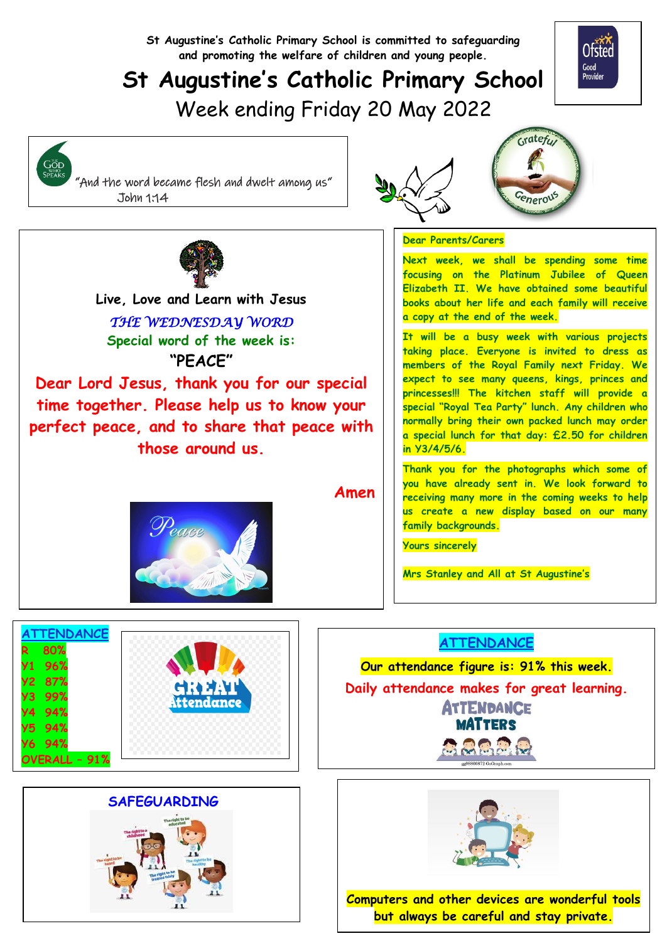**St Augustine's Catholic Primary School is committed to safeguarding and promoting the welfare of children and young people.**

## **St Augustine's Catholic Primary School**



# Week ending Friday 20 May 2022

GOD<br>SPEAKS

 "And the word became flesh and dwelt among us" John 1:14





  **Live, Love and Learn with Jesus** *THE WEDNESDAY WORD*  **Special word of the week is: "PEACE"**

**Dear Lord Jesus, thank you for our special time together. Please help us to know your perfect peace, and to share that peace with those around us.**

**Amen** 

**Dear Parents/Carers**

**Next week, we shall be spending some time focusing on the Platinum Jubilee of Queen Elizabeth II. We have obtained some beautiful books about her life and each family will receive a copy at the end of the week.**

**It will be a busy week with various projects taking place. Everyone is invited to dress as members of the Royal Family next Friday. We expect to see many queens, kings, princes and princesses!!! The kitchen staff will provide a special "Royal Tea Party" lunch. Any children who normally bring their own packed lunch may order a special lunch for that day: £2.50 for children in Y3/4/5/6.**

**Thank you for the photographs which some of you have already sent in. We look forward to receiving many more in the coming weeks to help us create a new display based on our many family backgrounds.**

**Yours sincerely**

**Mrs Stanley and All at St Augustine's**







**Our attendance figure is: 91% this week. Daily attendance makes for great learning. ATTENDANCE** 

**MATTERS** 

**ACCES** 



**Computers and other devices are wonderful tools but always be careful and stay private.**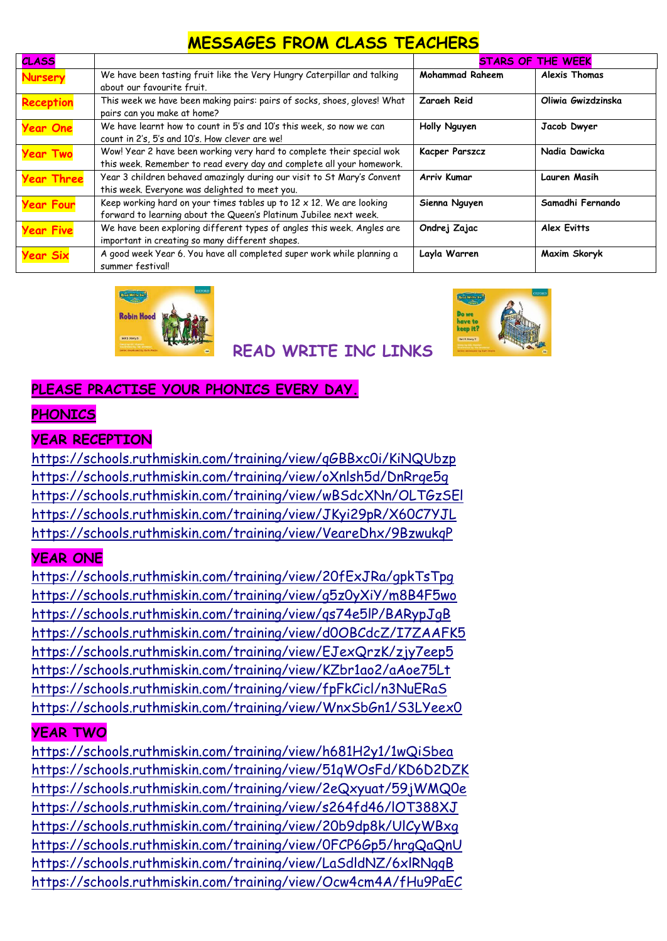#### **MESSAGES FROM CLASS TEACHERS**

| <b>CLASS</b>      |                                                                          | <b>STARS OF THE WEEK</b> |                      |
|-------------------|--------------------------------------------------------------------------|--------------------------|----------------------|
| <b>Nursery</b>    | We have been tasting fruit like the Very Hungry Caterpillar and talking  | <b>Mohammad Raheem</b>   | <b>Alexis Thomas</b> |
|                   | about our favourite fruit.                                               |                          |                      |
| <b>Reception</b>  | This week we have been making pairs: pairs of socks, shoes, gloves! What | Zaraeh Reid              | Oliwia Gwizdzinska   |
|                   | pairs can you make at home?                                              |                          |                      |
| <b>Year One</b>   | We have learnt how to count in 5's and 10's this week, so now we can     | Holly Nguyen             | Jacob Dwyer          |
|                   | count in 2's, 5's and 10's. How clever are we!                           |                          |                      |
| <b>Year Two</b>   | Wow! Year 2 have been working very hard to complete their special wok    | Kacper Parszcz           | Nadia Dawicka        |
|                   | this week. Remember to read every day and complete all your homework.    |                          |                      |
| <b>Year Three</b> | Year 3 children behaved amazingly during our visit to St Mary's Convent  | Arriv Kumar              | Lauren Masih         |
|                   | this week. Everyone was delighted to meet you.                           |                          |                      |
| <b>Year Four</b>  | Keep working hard on your times tables up to 12 x 12. We are looking     | Sienna Nguyen            | Samadhi Fernando     |
|                   | forward to learning about the Queen's Platinum Jubilee next week.        |                          |                      |
| <b>Year Five</b>  | We have been exploring different types of angles this week. Angles are   | Ondrej Zajac             | <b>Alex Evitts</b>   |
|                   | important in creating so many different shapes.                          |                          |                      |
| <b>Year Six</b>   | A good week Year 6. You have all completed super work while planning a   | Layla Warren             | Maxim Skoryk         |
|                   | summer festival!                                                         |                          |                      |





### **READ WRITE INC LINKS**

#### **PLEASE PRACTISE YOUR PHONICS EVERY DAY.**

#### **PHONICS**

#### **YEAR RECEPTION**

<https://schools.ruthmiskin.com/training/view/qGBBxc0i/KiNQUbzp> <https://schools.ruthmiskin.com/training/view/oXnlsh5d/DnRrge5g> <https://schools.ruthmiskin.com/training/view/wBSdcXNn/OLTGzSEl> <https://schools.ruthmiskin.com/training/view/JKyi29pR/X60C7YJL> <https://schools.ruthmiskin.com/training/view/VeareDhx/9BzwukqP>

#### **YEAR ONE**

<https://schools.ruthmiskin.com/training/view/20fExJRa/gpkTsTpg> <https://schools.ruthmiskin.com/training/view/g5z0yXiY/m8B4F5wo> <https://schools.ruthmiskin.com/training/view/qs74e5lP/BARypJgB> <https://schools.ruthmiskin.com/training/view/d0OBCdcZ/I7ZAAFK5> <https://schools.ruthmiskin.com/training/view/EJexQrzK/zjy7eep5> <https://schools.ruthmiskin.com/training/view/KZbr1ao2/aAoe75Lt> <https://schools.ruthmiskin.com/training/view/fpFkCicl/n3NuERaS> <https://schools.ruthmiskin.com/training/view/WnxSbGn1/S3LYeex0>

#### **YEAR TWO**

<https://schools.ruthmiskin.com/training/view/h681H2y1/1wQiSbea> <https://schools.ruthmiskin.com/training/view/51qWOsFd/KD6D2DZK> <https://schools.ruthmiskin.com/training/view/2eQxyuat/59jWMQ0e> <https://schools.ruthmiskin.com/training/view/s264fd46/lOT388XJ> <https://schools.ruthmiskin.com/training/view/20b9dp8k/UlCyWBxg> <https://schools.ruthmiskin.com/training/view/0FCP6Gp5/hrgQaQnU> <https://schools.ruthmiskin.com/training/view/LaSdldNZ/6xlRNgqB> <https://schools.ruthmiskin.com/training/view/Ocw4cm4A/fHu9PaEC>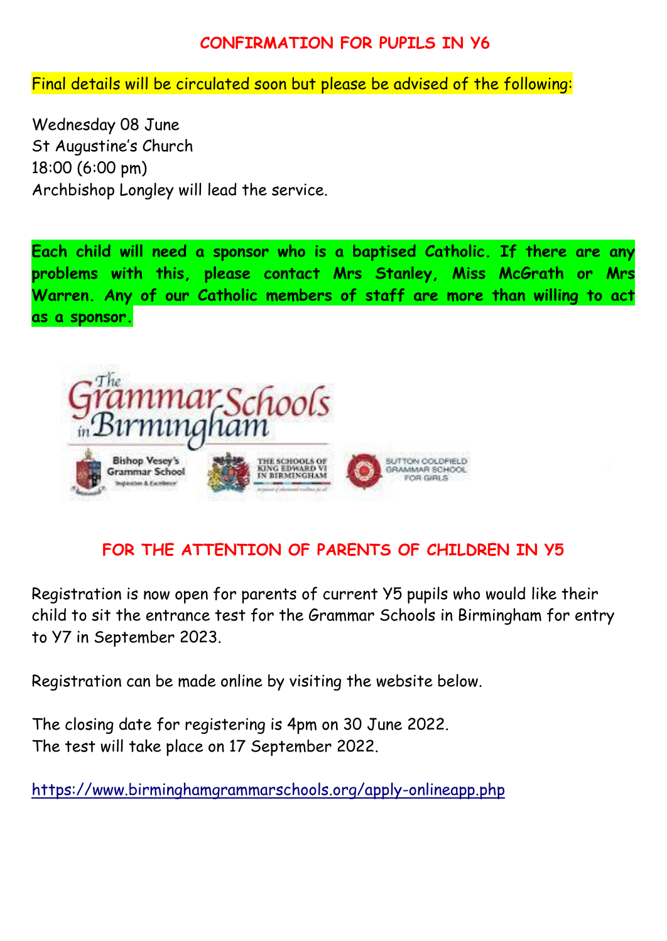#### **CONFIRMATION FOR PUPILS IN Y6**

Final details will be circulated soon but please be advised of the following:

Wednesday 08 June St Augustine's Church 18:00 (6:00 pm) Archbishop Longley will lead the service.

**Each child will need a sponsor who is a baptised Catholic. If there are any problems with this, please contact Mrs Stanley, Miss McGrath or Mrs Warren. Any of our Catholic members of staff are more than willing to act as a sponsor.**



#### **FOR THE ATTENTION OF PARENTS OF CHILDREN IN Y5**

Registration is now open for parents of current Y5 pupils who would like their child to sit the entrance test for the Grammar Schools in Birmingham for entry to Y7 in September 2023.

Registration can be made online by visiting the website below.

The closing date for registering is 4pm on 30 June 2022. The test will take place on 17 September 2022.

<https://www.birminghamgrammarschools.org/apply-onlineapp.php>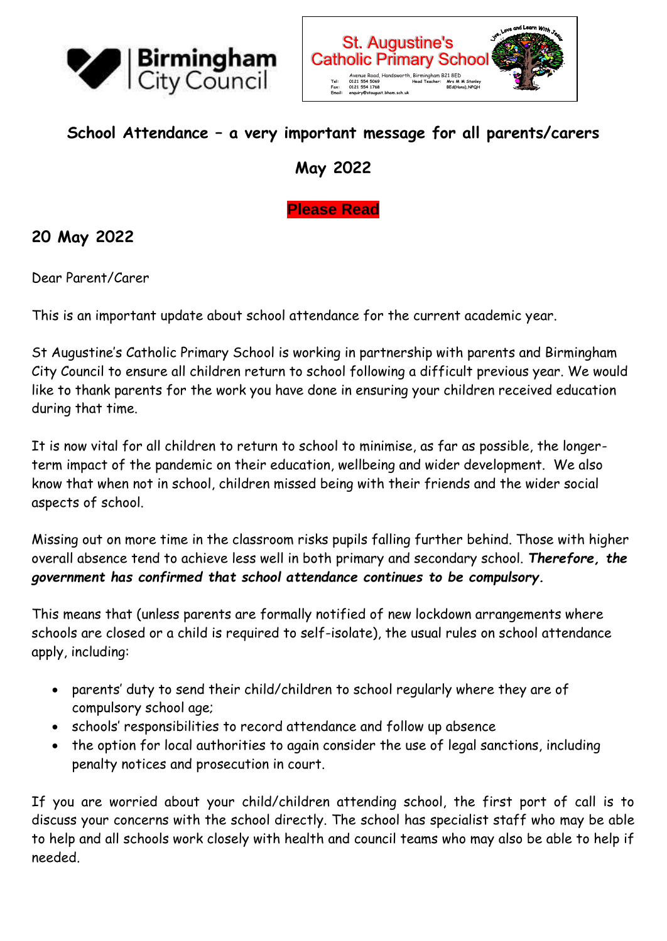



#### **School Attendance – a very important message for all parents/carers**

**May 2022**

**Please Read**

#### **20 May 2022**

Dear Parent/Carer

This is an important update about school attendance for the current academic year.

St Augustine's Catholic Primary School is working in partnership with parents and Birmingham City Council to ensure all children return to school following a difficult previous year. We would like to thank parents for the work you have done in ensuring your children received education during that time.

It is now vital for all children to return to school to minimise, as far as possible, the longerterm impact of the pandemic on their education, wellbeing and wider development. We also know that when not in school, children missed being with their friends and the wider social aspects of school.

Missing out on more time in the classroom risks pupils falling further behind. Those with higher overall absence tend to achieve less well in both primary and secondary school. *Therefore, the government has confirmed that school attendance continues to be compulsory.*

This means that (unless parents are formally notified of new lockdown arrangements where schools are closed or a child is required to self-isolate), the usual rules on school attendance apply, including:

- parents' duty to send their child/children to school regularly where they are of compulsory school age;
- schools' responsibilities to record attendance and follow up absence
- the option for local authorities to again consider the use of legal sanctions, including penalty notices and prosecution in court.

If you are worried about your child/children attending school, the first port of call is to discuss your concerns with the school directly. The school has specialist staff who may be able to help and all schools work closely with health and council teams who may also be able to help if needed.